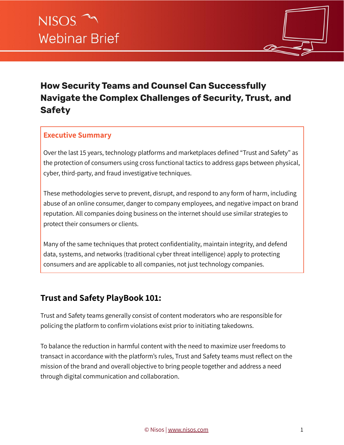

# **How Security Teams and Counsel Can Successfully Navigate the Complex Challenges of Security, Trust, and Safety**

#### **Executive Summary**

Over the last 15 years, technology platforms and marketplaces defined "Trust and Safety" as the protection of consumers using cross functional tactics to address gaps between physical, cyber, third-party, and fraud investigative techniques.

These methodologies serve to prevent, disrupt, and respond to any form of harm, including abuse of an online consumer, danger to company employees, and negative impact on brand reputation. All companies doing business on the internet should use similar strategies to protect their consumers or clients.

Many of the same techniques that protect confidentiality, maintain integrity, and defend data, systems, and networks (traditional cyber threat intelligence) apply to protecting consumers and are applicable to all companies, not just technology companies.

### **Trust and Safety PlayBook 101:**

Trust and Safety teams generally consist of content moderators who are responsible for policing the platform to confirm violations exist prior to initiating takedowns.

To balance the reduction in harmful content with the need to maximize user freedoms to transact in accordance with the platform's rules, Trust and Safety teams must reflect on the mission of the brand and overall objective to bring people together and address a need through digital communication and collaboration.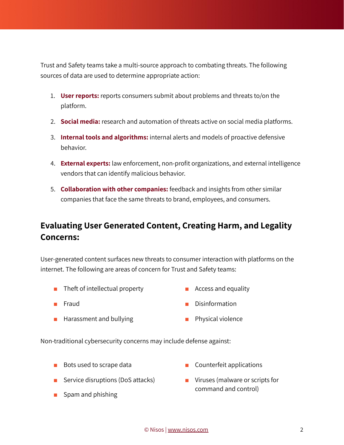Trust and Safety teams take a multi-source approach to combating threats. The following sources of data are used to determine appropriate action:

- 1. **User reports:** reports consumers submit about problems and threats to/on the platform.
- 2. **Social media:** research and automation of threats active on social media platforms.
- 3. **Internal tools and algorithms:** internal alerts and models of proactive defensive behavior.
- 4. **External experts:** law enforcement, non-profit organizations, and external intelligence vendors that can identify malicious behavior.
- 5. **Collaboration with other companies:** feedback and insights from other similar companies that face the same threats to brand, employees, and consumers.

## **Evaluating User Generated Content, Creating Harm, and Legality Concerns:**

User-generated content surfaces new threats to consumer interaction with platforms on the internet. The following are areas of concern for Trust and Safety teams:

- Theft of intellectual property Access and equality
	-

- 
- Fraud Disinformation
- Harassment and bullying Physical violence
- 

Non-traditional cybersecurity concerns may include defense against:

- Bots used to scrape data Counterfeit applications
- Service disruptions (DoS attacks)
- 

■ Spam and phishing

■ Viruses (malware or scripts for command and control)